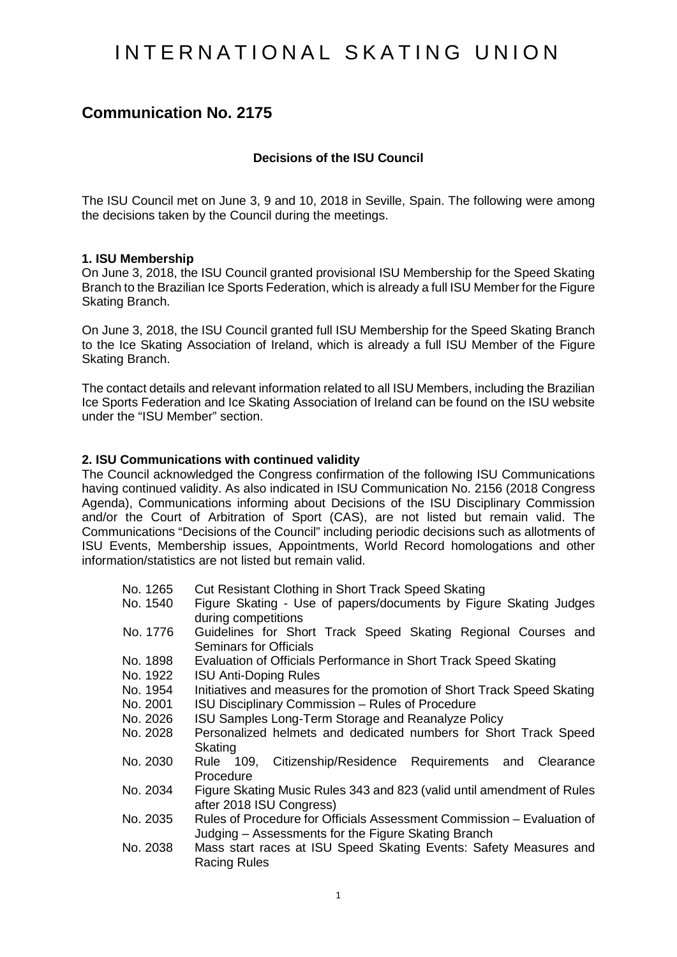# INTERNATIONAL SKATING UNION

# **Communication No. 2175**

# **Decisions of the ISU Council**

The ISU Council met on June 3, 9 and 10, 2018 in Seville, Spain. The following were among the decisions taken by the Council during the meetings.

#### **1. ISU Membership**

On June 3, 2018, the ISU Council granted provisional ISU Membership for the Speed Skating Branch to the Brazilian Ice Sports Federation, which is already a full ISU Member for the Figure Skating Branch.

On June 3, 2018, the ISU Council granted full ISU Membership for the Speed Skating Branch to the Ice Skating Association of Ireland, which is already a full ISU Member of the Figure Skating Branch.

The contact details and relevant information related to all ISU Members, including the Brazilian Ice Sports Federation and Ice Skating Association of Ireland can be found on the ISU website under the "ISU Member" section.

#### **2. ISU Communications with continued validity**

The Council acknowledged the Congress confirmation of the following ISU Communications having continued validity. As also indicated in ISU Communication No. 2156 (2018 Congress Agenda), Communications informing about Decisions of the ISU Disciplinary Commission and/or the Court of Arbitration of Sport (CAS), are not listed but remain valid. The Communications "Decisions of the Council" including periodic decisions such as allotments of ISU Events, Membership issues, Appointments, World Record homologations and other information/statistics are not listed but remain valid.

- No. 1265 Cut Resistant Clothing in Short Track Speed Skating<br>No. 1540 Figure Skating Use of papers/documents by Figu
- Figure Skating Use of papers/documents by Figure Skating Judges during competitions
- No. 1776 Guidelines for Short Track Speed Skating Regional Courses and Seminars for Officials
- No. 1898 Evaluation of Officials Performance in Short Track Speed Skating
- No. 1922 ISU Anti-Doping Rules<br>No. 1954 Initiatives and measure
- No. 1954 Initiatives and measures for the promotion of Short Track Speed Skating<br>No. 2001 ISU Disciplinary Commission Rules of Procedure
- No. 2001 ISU Disciplinary Commission Rules of Procedure<br>No. 2026 ISU Samples Long-Term Storage and Reanalyze P
- **ISU Samples Long-Term Storage and Reanalyze Policy**
- No. 2028 Personalized helmets and dedicated numbers for Short Track Speed **Skating**
- No. 2030 Rule 109, Citizenship/Residence Requirements and Clearance Procedure
- No. 2034 Figure Skating Music Rules 343 and 823 (valid until amendment of Rules after 2018 ISU Congress)
- No. 2035 Rules of Procedure for Officials Assessment Commission Evaluation of Judging – Assessments for the Figure Skating Branch
- No. 2038 Mass start races at ISU Speed Skating Events: Safety Measures and Racing Rules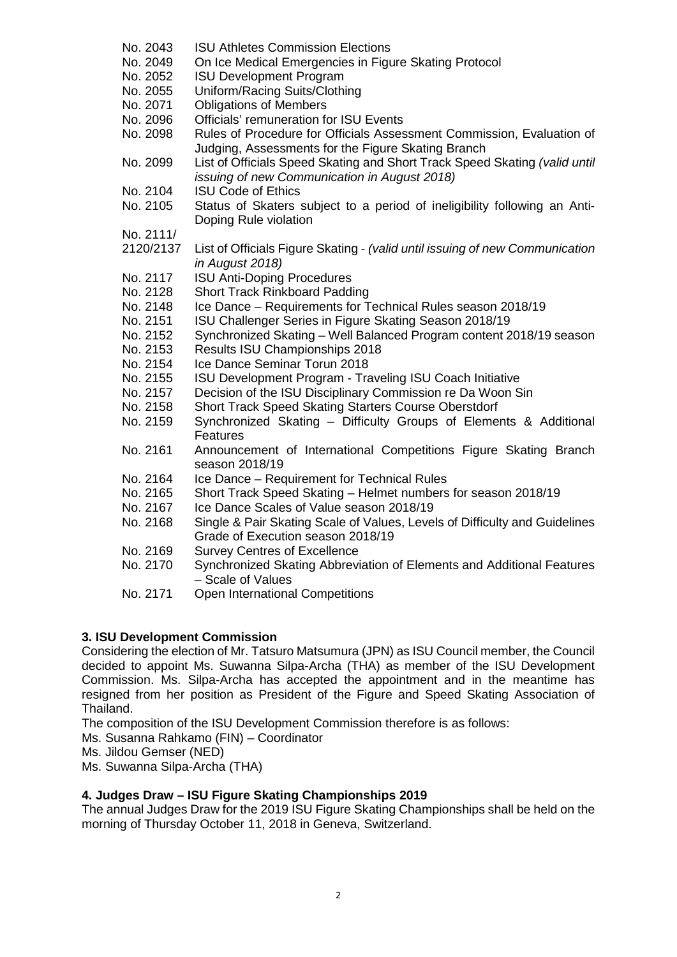No. 2043 ISU Athletes Commission Elections No. 2049 On Ice Medical Emergencies in Figure Skating Protocol No. 2052 ISU Development Program No. 2055 Uniform/Racing Suits/Clothing No. 2071 Obligations of Members<br>No. 2096 Officials' remuneration fo Officials' remuneration for ISU Events No. 2098 Rules of Procedure for Officials Assessment Commission, Evaluation of Judging, Assessments for the Figure Skating Branch No. 2099 List of Officials Speed Skating and Short Track Speed Skating *(valid until issuing of new Communication in August 2018)* No. 2104 ISU Code of Ethics<br>No. 2105 Status of Skaters Status of Skaters subject to a period of ineligibility following an Anti-Doping Rule violation No. 2111/ 2120/2137 List of Officials Figure Skating - *(valid until issuing of new Communication in August 2018)* No. 2117 ISU Anti-Doping Procedures No. 2128 Short Track Rinkboard Padding No. 2148 Ice Dance – Requirements for Technical Rules season 2018/19 No. 2151 ISU Challenger Series in Figure Skating Season 2018/19 No. 2152 Synchronized Skating – Well Balanced Program content 2018/19 season<br>No. 2153 Results ISU Championships 2018 Results ISU Championships 2018 No. 2154 Ice Dance Seminar Torun 2018 No. 2155 ISU Development Program - Traveling ISU Coach Initiative No. 2157 Decision of the ISU Disciplinary Commission re Da Woon Sin<br>No. 2158 Short Track Speed Skating Starters Course Oberstdorf Short Track Speed Skating Starters Course Oberstdorf No. 2159 Synchronized Skating – Difficulty Groups of Elements & Additional Features No. 2161 Announcement of International Competitions Figure Skating Branch season 2018/19 No. 2164 Ice Dance – Requirement for Technical Rules No. 2165 Short Track Speed Skating – Helmet numbers for season 2018/19 No. 2167 Ice Dance Scales of Value season 2018/19 No. 2168 Single & Pair Skating Scale of Values, Levels of Difficulty and Guidelines Grade of Execution season 2018/19 No. 2169 Survey Centres of Excellence<br>No. 2170 Synchronized Skating Abbrevi Synchronized Skating Abbreviation of Elements and Additional Features – Scale of Values No. 2171 Open International Competitions

# **3. ISU Development Commission**

Considering the election of Mr. Tatsuro Matsumura (JPN) as ISU Council member, the Council decided to appoint Ms. Suwanna Silpa-Archa (THA) as member of the ISU Development Commission. Ms. Silpa-Archa has accepted the appointment and in the meantime has resigned from her position as President of the Figure and Speed Skating Association of Thailand.

The composition of the ISU Development Commission therefore is as follows:

Ms. Susanna Rahkamo (FIN) – Coordinator

Ms. Jildou Gemser (NED)

Ms. Suwanna Silpa-Archa (THA)

# **4. Judges Draw – ISU Figure Skating Championships 2019**

The annual Judges Draw for the 2019 ISU Figure Skating Championships shall be held on the morning of Thursday October 11, 2018 in Geneva, Switzerland.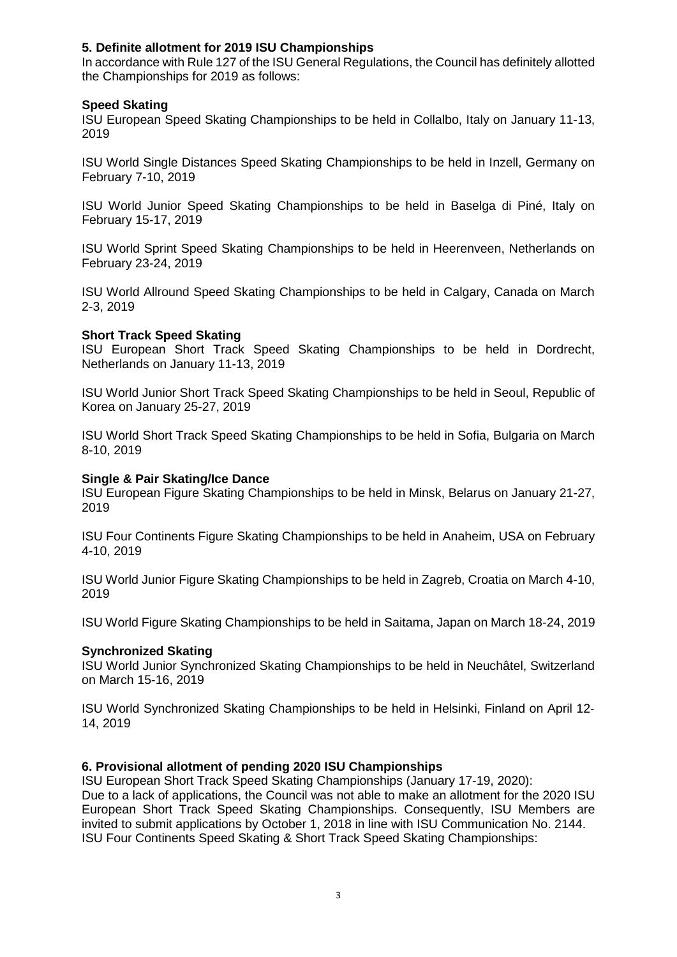# **5. Definite allotment for 2019 ISU Championships**

In accordance with Rule 127 of the ISU General Regulations, the Council has definitely allotted the Championships for 2019 as follows:

# **Speed Skating**

ISU European Speed Skating Championships to be held in Collalbo, Italy on January 11-13, 2019

ISU World Single Distances Speed Skating Championships to be held in Inzell, Germany on February 7-10, 2019

ISU World Junior Speed Skating Championships to be held in Baselga di Piné, Italy on February 15-17, 2019

ISU World Sprint Speed Skating Championships to be held in Heerenveen, Netherlands on February 23-24, 2019

ISU World Allround Speed Skating Championships to be held in Calgary, Canada on March 2-3, 2019

# **Short Track Speed Skating**

ISU European Short Track Speed Skating Championships to be held in Dordrecht, Netherlands on January 11-13, 2019

ISU World Junior Short Track Speed Skating Championships to be held in Seoul, Republic of Korea on January 25-27, 2019

ISU World Short Track Speed Skating Championships to be held in Sofia, Bulgaria on March 8-10, 2019

# **Single & Pair Skating/Ice Dance**

ISU European Figure Skating Championships to be held in Minsk, Belarus on January 21-27, 2019

ISU Four Continents Figure Skating Championships to be held in Anaheim, USA on February 4-10, 2019

ISU World Junior Figure Skating Championships to be held in Zagreb, Croatia on March 4-10, 2019

ISU World Figure Skating Championships to be held in Saitama, Japan on March 18-24, 2019

# **Synchronized Skating**

ISU World Junior Synchronized Skating Championships to be held in Neuchâtel, Switzerland on March 15-16, 2019

ISU World Synchronized Skating Championships to be held in Helsinki, Finland on April 12- 14, 2019

# **6. Provisional allotment of pending 2020 ISU Championships**

ISU European Short Track Speed Skating Championships (January 17-19, 2020): Due to a lack of applications, the Council was not able to make an allotment for the 2020 ISU European Short Track Speed Skating Championships. Consequently, ISU Members are invited to submit applications by October 1, 2018 in line with ISU Communication No. 2144. ISU Four Continents Speed Skating & Short Track Speed Skating Championships: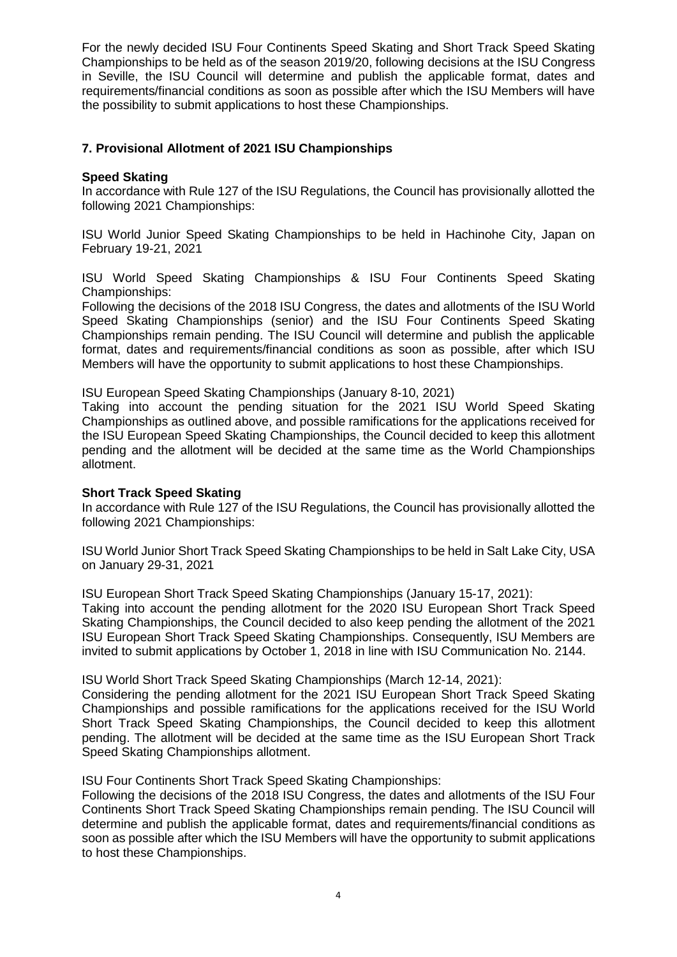For the newly decided ISU Four Continents Speed Skating and Short Track Speed Skating Championships to be held as of the season 2019/20, following decisions at the ISU Congress in Seville, the ISU Council will determine and publish the applicable format, dates and requirements/financial conditions as soon as possible after which the ISU Members will have the possibility to submit applications to host these Championships.

# **7. Provisional Allotment of 2021 ISU Championships**

# **Speed Skating**

In accordance with Rule 127 of the ISU Regulations, the Council has provisionally allotted the following 2021 Championships:

ISU World Junior Speed Skating Championships to be held in Hachinohe City, Japan on February 19-21, 2021

ISU World Speed Skating Championships & ISU Four Continents Speed Skating Championships:

Following the decisions of the 2018 ISU Congress, the dates and allotments of the ISU World Speed Skating Championships (senior) and the ISU Four Continents Speed Skating Championships remain pending. The ISU Council will determine and publish the applicable format, dates and requirements/financial conditions as soon as possible, after which ISU Members will have the opportunity to submit applications to host these Championships.

ISU European Speed Skating Championships (January 8-10, 2021)

Taking into account the pending situation for the 2021 ISU World Speed Skating Championships as outlined above, and possible ramifications for the applications received for the ISU European Speed Skating Championships, the Council decided to keep this allotment pending and the allotment will be decided at the same time as the World Championships allotment.

# **Short Track Speed Skating**

In accordance with Rule 127 of the ISU Regulations, the Council has provisionally allotted the following 2021 Championships:

ISU World Junior Short Track Speed Skating Championships to be held in Salt Lake City, USA on January 29-31, 2021

ISU European Short Track Speed Skating Championships (January 15-17, 2021): Taking into account the pending allotment for the 2020 ISU European Short Track Speed Skating Championships, the Council decided to also keep pending the allotment of the 2021 ISU European Short Track Speed Skating Championships. Consequently, ISU Members are invited to submit applications by October 1, 2018 in line with ISU Communication No. 2144.

ISU World Short Track Speed Skating Championships (March 12-14, 2021):

Considering the pending allotment for the 2021 ISU European Short Track Speed Skating Championships and possible ramifications for the applications received for the ISU World Short Track Speed Skating Championships, the Council decided to keep this allotment pending. The allotment will be decided at the same time as the ISU European Short Track Speed Skating Championships allotment.

ISU Four Continents Short Track Speed Skating Championships:

Following the decisions of the 2018 ISU Congress, the dates and allotments of the ISU Four Continents Short Track Speed Skating Championships remain pending. The ISU Council will determine and publish the applicable format, dates and requirements/financial conditions as soon as possible after which the ISU Members will have the opportunity to submit applications to host these Championships.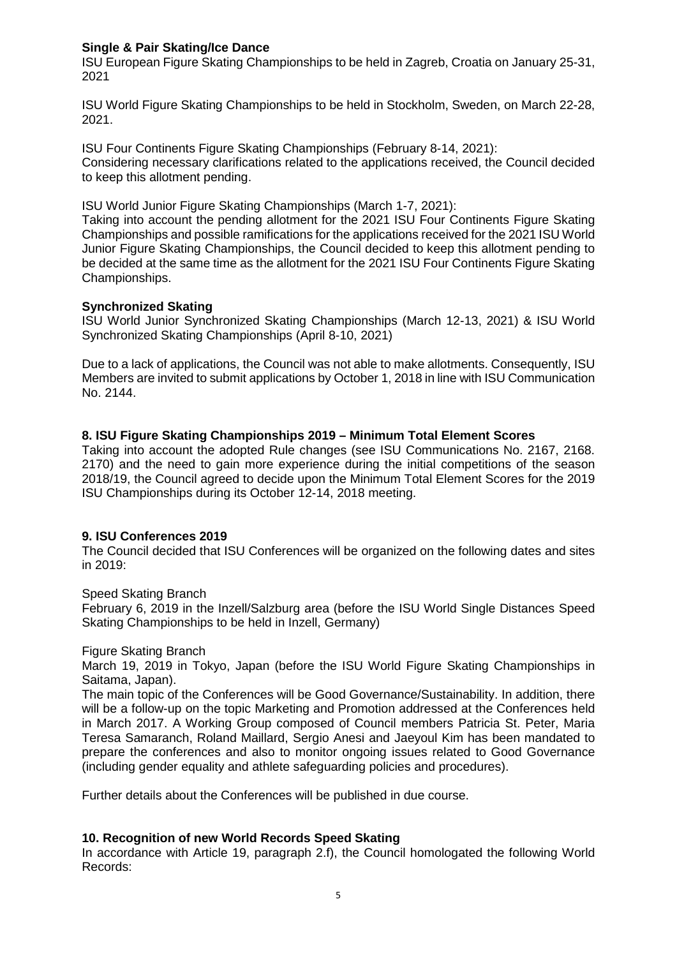# **Single & Pair Skating/Ice Dance**

ISU European Figure Skating Championships to be held in Zagreb, Croatia on January 25-31, 2021

ISU World Figure Skating Championships to be held in Stockholm, Sweden, on March 22-28, 2021.

ISU Four Continents Figure Skating Championships (February 8-14, 2021): Considering necessary clarifications related to the applications received, the Council decided to keep this allotment pending.

ISU World Junior Figure Skating Championships (March 1-7, 2021):

Taking into account the pending allotment for the 2021 ISU Four Continents Figure Skating Championships and possible ramifications for the applications received for the 2021 ISU World Junior Figure Skating Championships, the Council decided to keep this allotment pending to be decided at the same time as the allotment for the 2021 ISU Four Continents Figure Skating Championships.

# **Synchronized Skating**

ISU World Junior Synchronized Skating Championships (March 12-13, 2021) & ISU World Synchronized Skating Championships (April 8-10, 2021)

Due to a lack of applications, the Council was not able to make allotments. Consequently, ISU Members are invited to submit applications by October 1, 2018 in line with ISU Communication No. 2144.

# **8. ISU Figure Skating Championships 2019 – Minimum Total Element Scores**

Taking into account the adopted Rule changes (see ISU Communications No. 2167, 2168. 2170) and the need to gain more experience during the initial competitions of the season 2018/19, the Council agreed to decide upon the Minimum Total Element Scores for the 2019 ISU Championships during its October 12-14, 2018 meeting.

# **9. ISU Conferences 2019**

The Council decided that ISU Conferences will be organized on the following dates and sites in 2019:

# Speed Skating Branch

February 6, 2019 in the Inzell/Salzburg area (before the ISU World Single Distances Speed Skating Championships to be held in Inzell, Germany)

# Figure Skating Branch

March 19, 2019 in Tokyo, Japan (before the ISU World Figure Skating Championships in Saitama, Japan).

The main topic of the Conferences will be Good Governance/Sustainability. In addition, there will be a follow-up on the topic Marketing and Promotion addressed at the Conferences held in March 2017. A Working Group composed of Council members Patricia St. Peter, Maria Teresa Samaranch, Roland Maillard, Sergio Anesi and Jaeyoul Kim has been mandated to prepare the conferences and also to monitor ongoing issues related to Good Governance (including gender equality and athlete safeguarding policies and procedures).

Further details about the Conferences will be published in due course.

# **10. Recognition of new World Records Speed Skating**

In accordance with Article 19, paragraph 2.f), the Council homologated the following World Records: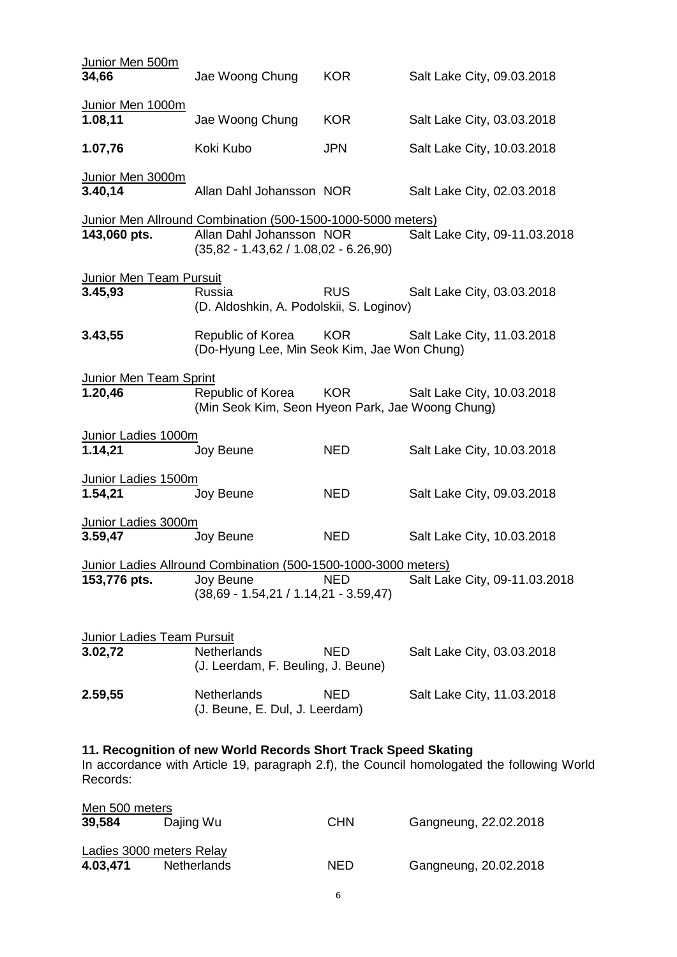| Junior Men 500m<br>34,66                                                                                                                                                 | Jae Woong Chung                                                                                                                    | <b>KOR</b> | Salt Lake City, 09.03.2018 |                               |
|--------------------------------------------------------------------------------------------------------------------------------------------------------------------------|------------------------------------------------------------------------------------------------------------------------------------|------------|----------------------------|-------------------------------|
| Junior Men 1000m<br>1.08,11                                                                                                                                              | Jae Woong Chung                                                                                                                    | <b>KOR</b> | Salt Lake City, 03.03.2018 |                               |
| 1.07,76                                                                                                                                                                  | Koki Kubo                                                                                                                          | <b>JPN</b> | Salt Lake City, 10.03.2018 |                               |
| Junior Men 3000m<br>3.40,14                                                                                                                                              | Allan Dahl Johansson NOR                                                                                                           |            | Salt Lake City, 02.03.2018 |                               |
| 143,060 pts.                                                                                                                                                             | Junior Men Allround Combination (500-1500-1000-5000 meters)<br>Allan Dahl Johansson NOR<br>$(35,82 - 1.43,62 / 1.08,02 - 6.26,90)$ |            |                            | Salt Lake City, 09-11.03.2018 |
| Junior Men Team Pursuit<br>3.45,93                                                                                                                                       | Russia<br>(D. Aldoshkin, A. Podolskii, S. Loginov)                                                                                 | <b>RUS</b> | Salt Lake City, 03.03.2018 |                               |
| 3.43,55                                                                                                                                                                  | Republic of Korea<br>(Do-Hyung Lee, Min Seok Kim, Jae Won Chung)                                                                   | <b>KOR</b> | Salt Lake City, 11.03.2018 |                               |
| <b>Junior Men Team Sprint</b><br>1.20,46                                                                                                                                 | Republic of Korea<br>(Min Seok Kim, Seon Hyeon Park, Jae Woong Chung)                                                              | <b>KOR</b> | Salt Lake City, 10.03.2018 |                               |
| Junior Ladies 1000m<br>1.14,21                                                                                                                                           | Joy Beune                                                                                                                          | <b>NED</b> | Salt Lake City, 10.03.2018 |                               |
|                                                                                                                                                                          |                                                                                                                                    |            |                            |                               |
| Junior Ladies 1500m<br>1.54,21                                                                                                                                           | Joy Beune                                                                                                                          | <b>NED</b> | Salt Lake City, 09.03.2018 |                               |
| Junior Ladies 3000m<br>3.59,47                                                                                                                                           | Joy Beune                                                                                                                          | <b>NED</b> | Salt Lake City, 10.03.2018 |                               |
| 153,776 pts.                                                                                                                                                             | Junior Ladies Allround Combination (500-1500-1000-3000 meters)<br>Joy Beune<br>$(38,69 - 1.54,21 / 1.14,21 - 3.59,47)$             | <b>NED</b> |                            | Salt Lake City, 09-11.03.2018 |
| <b>Junior Ladies Team Pursuit</b><br>3.02,72                                                                                                                             | <b>Netherlands</b><br>(J. Leerdam, F. Beuling, J. Beune)                                                                           | <b>NED</b> | Salt Lake City, 03.03.2018 |                               |
| 2.59,55                                                                                                                                                                  | Netherlands<br>(J. Beune, E. Dul, J. Leerdam)                                                                                      | <b>NED</b> | Salt Lake City, 11.03.2018 |                               |
| 11. Recognition of new World Records Short Track Speed Skating<br>In accordance with Article 19, paragraph 2.f), the Council homologated the following World<br>Records: |                                                                                                                                    |            |                            |                               |
| Men 500 meters                                                                                                                                                           |                                                                                                                                    |            |                            |                               |

| 39,584                          | Dajing Wu          | <b>CHN</b> | Gangneung, 22.02.2018 |  |  |  |
|---------------------------------|--------------------|------------|-----------------------|--|--|--|
| <b>Ladies 3000 meters Relay</b> |                    |            |                       |  |  |  |
| 4.03,471                        | <b>Netherlands</b> | NED        | Gangneung, 20.02.2018 |  |  |  |